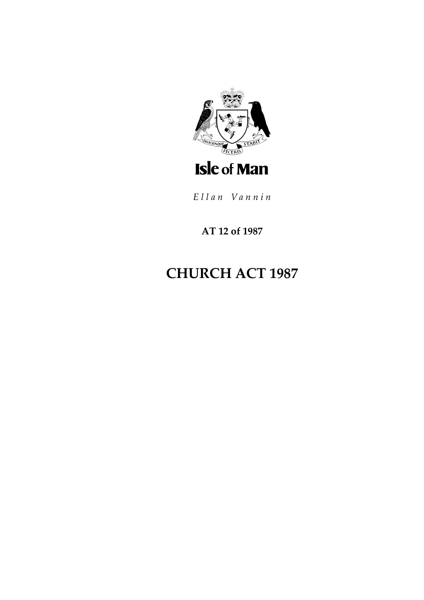

Ellan Vannin

## AT 12 of 1987

# **CHURCH ACT 1987**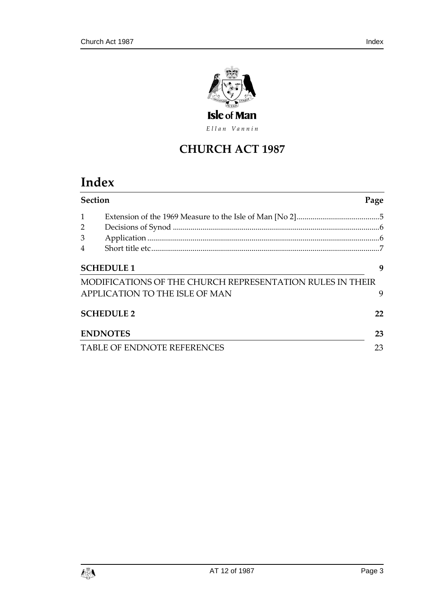

Ellan Vannin

## **CHURCH ACT 1987**

## **Index**

| <b>Section</b>              |                                                           | Page |
|-----------------------------|-----------------------------------------------------------|------|
|                             |                                                           |      |
|                             |                                                           |      |
| 3                           |                                                           |      |
|                             |                                                           |      |
| <b>SCHEDULE 1</b>           |                                                           |      |
|                             | MODIFICATIONS OF THE CHURCH REPRESENTATION RULES IN THEIR |      |
|                             | APPLICATION TO THE ISLE OF MAN                            | 9    |
| <b>SCHEDULE 2</b>           |                                                           | 22   |
| <b>ENDNOTES</b>             |                                                           |      |
| TABLE OF ENDNOTE REFERENCES |                                                           | 23   |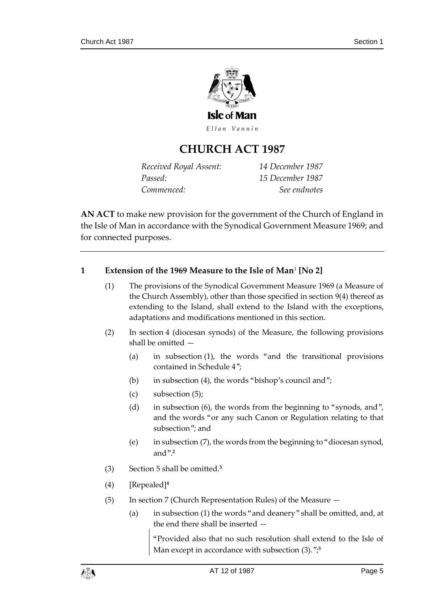

Ellan Vannin

## **CHURCH ACT 1987**

*Received Royal Assent: 14 December 1987 Passed: 15 December 1987 Commenced: See endnotes*

**AN ACT** to make new provision for the government of the Church of England in the Isle of Man in accordance with the Synodical Government Measure 1969; and for connected purposes.

## <span id="page-4-0"></span>**1 Extension of the 1969 Measure to the Isle of Man**<sup>1</sup> **[No 2]**

- (1) The provisions of the Synodical Government Measure 1969 (a Measure of the Church Assembly), other than those specified in section 9(4) thereof as extending to the Island, shall extend to the Island with the exceptions, adaptations and modifications mentioned in this section.
- (2) In section 4 (diocesan synods) of the Measure, the following provisions shall be omitted —
	- (a) in subsection (1), the words "and the transitional provisions contained in Schedule 4";
	- (b) in subsection (4), the words "bishop's council and";
	- (c) subsection (5);
	- (d) in subsection (6), the words from the beginning to "synods, and", and the words "or any such Canon or Regulation relating to that subsection"; and
	- (e) in subsection (7), the words from the beginning to "diocesan synod, and". **2**
- (3) Section 5 shall be omitted.**<sup>3</sup>**
- (4) [Repealed]**<sup>4</sup>**
- (5) In section 7 (Church Representation Rules) of the Measure
	- (a) in subsection (1) the words "and deanery" shall be omitted, and, at the end there shall be inserted —

"Provided also that no such resolution shall extend to the Isle of Man except in accordance with subsection (3)."; **5**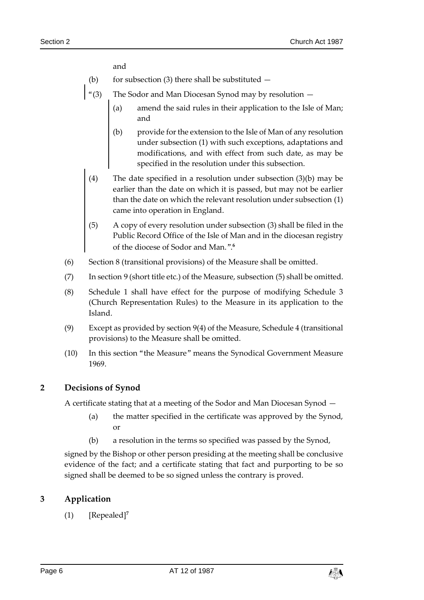and

- (b) for subsection (3) there shall be substituted  $-$
- "(3) The Sodor and Man Diocesan Synod may by resolution
	- (a) amend the said rules in their application to the Isle of Man; and
	- (b) provide for the extension to the Isle of Man of any resolution under subsection (1) with such exceptions, adaptations and modifications, and with effect from such date, as may be specified in the resolution under this subsection.
	- (4) The date specified in a resolution under subsection (3)(b) may be earlier than the date on which it is passed, but may not be earlier than the date on which the relevant resolution under subsection (1) came into operation in England.
	- (5) A copy of every resolution under subsection (3) shall be filed in the Public Record Office of the Isle of Man and in the diocesan registry of the diocese of Sodor and Man.". **6**
- (6) Section 8 (transitional provisions) of the Measure shall be omitted.
- (7) In section 9 (short title etc.) of the Measure, subsection (5) shall be omitted.
- (8) Schedule 1 shall have effect for the purpose of modifying Schedule 3 (Church Representation Rules) to the Measure in its application to the Island.
- (9) Except as provided by section 9(4) of the Measure, Schedule 4 (transitional provisions) to the Measure shall be omitted.
- (10) In this section "the Measure" means the Synodical Government Measure 1969.

## <span id="page-5-0"></span>**2 Decisions of Synod**

A certificate stating that at a meeting of the Sodor and Man Diocesan Synod —

- (a) the matter specified in the certificate was approved by the Synod, or
- (b) a resolution in the terms so specified was passed by the Synod,

signed by the Bishop or other person presiding at the meeting shall be conclusive evidence of the fact; and a certificate stating that fact and purporting to be so signed shall be deemed to be so signed unless the contrary is proved.

#### <span id="page-5-1"></span>**3 Application**

(1) [Repealed]**<sup>7</sup>**

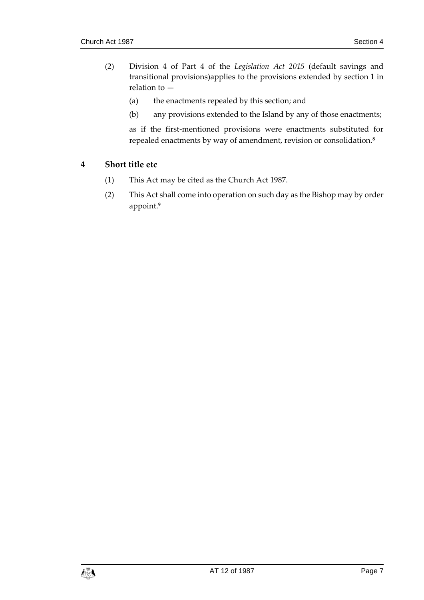- (2) Division 4 of Part 4 of the *Legislation Act 2015* (default savings and transitional provisions)applies to the provisions extended by section 1 in relation to —
	- (a) the enactments repealed by this section; and
	- (b) any provisions extended to the Island by any of those enactments;

as if the first-mentioned provisions were enactments substituted for repealed enactments by way of amendment, revision or consolidation.**<sup>8</sup>**

## <span id="page-6-0"></span>**4 Short title etc**

- (1) This Act may be cited as the Church Act 1987.
- (2) This Act shall come into operation on such day as the Bishop may by order appoint.**9**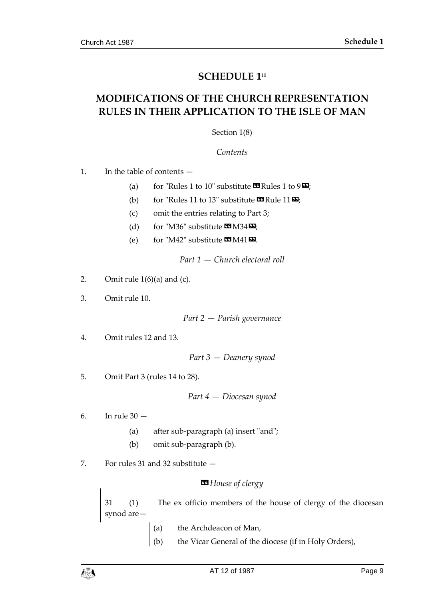## **SCHEDULE 1**<sup>10</sup>

## <span id="page-8-1"></span><span id="page-8-0"></span>**MODIFICATIONS OF THE CHURCH REPRESENTATION RULES IN THEIR APPLICATION TO THE ISLE OF MAN**

Section 1(8)

*Contents*

1. In the table of contents —

- (a) for "Rules 1 to 10" substitute  $\mathbf{C}$  Rules 1 to 9 $\mathbf{D}$ ;
- (b) for "Rules 11 to 13" substitute  $\mathbf{C}$  Rule 11 $\mathbf{E}$ ;
- (c) omit the entries relating to Part 3;
- (d) for "M36" substitute  $\mathbf{M}$  M34 $\mathbf{E}$ ;
- (e) for "M42" substitute  $\mathbf{C} \mathbf{M}$   $(41)$   $\mathbf{E}$ .

*Part 1 — Church electoral roll*

- 2. Omit rule  $1(6)(a)$  and (c).
- 3. Omit rule 10.

*Part 2 — Parish governance*

4. Omit rules 12 and 13.

*Part 3 — Deanery synod*

5. Omit Part 3 (rules 14 to 28).

*Part 4 — Diocesan synod*

- 6. In rule 30
	- (a) after sub-paragraph (a) insert "and";
	- (b) omit sub-paragraph (b).
- 7. For rules 31 and 32 substitute —

#### *«House of clergy*

31 (1) The ex officio members of the house of clergy of the diocesan synod are—

- (a) the Archdeacon of Man,
- (b) the Vicar General of the diocese (if in Holy Orders),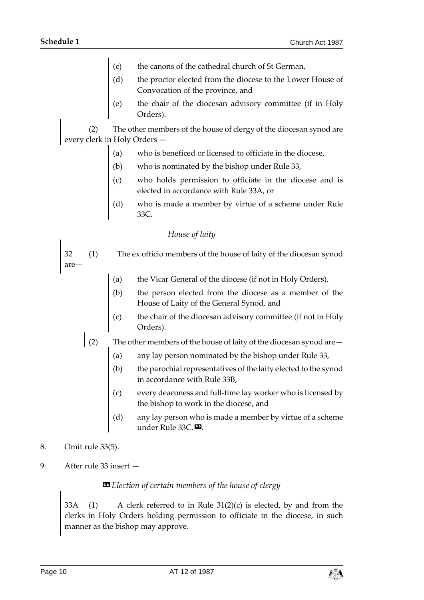- (c) the canons of the cathedral church of St German,
- (d) the proctor elected from the diocese to the Lower House of Convocation of the province, and
- (e) the chair of the diocesan advisory committee (if in Holy Orders).

(2) The other members of the house of clergy of the diocesan synod are every clerk in Holy Orders —

- (a) who is beneficed or licensed to officiate in the diocese,
- (b) who is nominated by the bishop under Rule 33,
- (c) who holds permission to officiate in the diocese and is elected in accordance with Rule 33A, or
- (d) who is made a member by virtue of a scheme under Rule 33C.

#### *House of laity*

32 (1) The ex officio members of the house of laity of the diocesan synod are—

- (a) the Vicar General of the diocese (if not in Holy Orders),
- (b) the person elected from the diocese as a member of the House of Laity of the General Synod, and
- (c) the chair of the diocesan advisory committee (if not in Holy Orders).

(2) The other members of the house of laity of the diocesan synod are  $-$ 

- (a) any lay person nominated by the bishop under Rule 33,
- (b) the parochial representatives of the laity elected to the synod in accordance with Rule 33B,
- (c) every deaconess and full-time lay worker who is licensed by the bishop to work in the diocese, and
- (d) any lay person who is made a member by virtue of a scheme under Rule 33C.
- 8. Omit rule 33(5).
- 9. After rule 33 insert —

#### $\blacksquare$  Election of certain members of the house of clergy

33A (1) A clerk referred to in Rule 31(2)(c) is elected, by and from the clerks in Holy Orders holding permission to officiate in the diocese, in such manner as the bishop may approve.

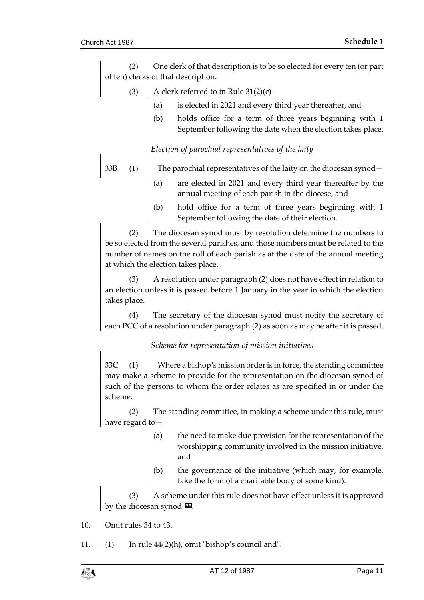(2) One clerk of that description is to be so elected for every ten (or part of ten) clerks of that description.

- (3) A clerk referred to in Rule  $31(2)(c)$ 
	- (a) is elected in 2021 and every third year thereafter, and
	- holds office for a term of three years beginning with 1 September following the date when the election takes place.

#### *Election of parochial representatives of the laity*

- 33B (1) The parochial representatives of the laity on the diocesan synod
	- are elected in 2021 and every third year thereafter by the annual meeting of each parish in the diocese, and
	- (b) hold office for a term of three years beginning with 1 September following the date of their election.

(2) The diocesan synod must by resolution determine the numbers to be so elected from the several parishes, and those numbers must be related to the number of names on the roll of each parish as at the date of the annual meeting at which the election takes place.

(3) A resolution under paragraph (2) does not have effect in relation to an election unless it is passed before 1 January in the year in which the election takes place.

(4) The secretary of the diocesan synod must notify the secretary of each PCC of a resolution under paragraph (2) as soon as may be after it is passed.

#### *Scheme for representation of mission initiatives*

33C (1) Where a bishop's mission order is in force, the standing committee may make a scheme to provide for the representation on the diocesan synod of such of the persons to whom the order relates as are specified in or under the scheme.

(2) The standing committee, in making a scheme under this rule, must have regard to—

- (a) the need to make due provision for the representation of the worshipping community involved in the mission initiative, and
- (b) the governance of the initiative (which may, for example, take the form of a charitable body of some kind).

(3) A scheme under this rule does not have effect unless it is approved by the diocesan synod. $\mathbf{E}$ .

- 10. Omit rules 34 to 43.
- 11. (1) In rule 44(2)(h), omit "bishop's council and".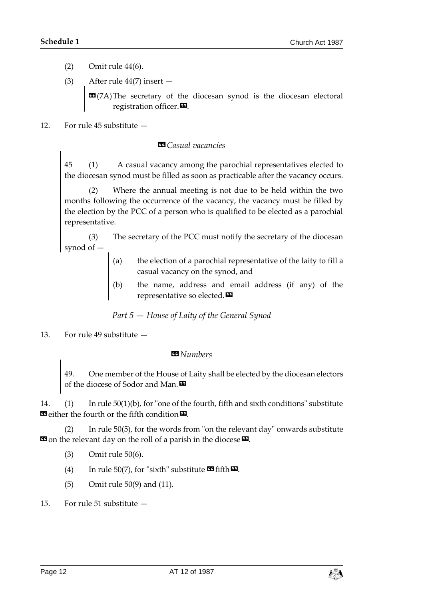- (2) Omit rule 44(6).
- (3) After rule  $44(7)$  insert  $-$

 $\text{17A}$  The secretary of the diocesan synod is the diocesan electoral registration officer. $\mathbf{D}$ .

12. For rule 45 substitute —

### *«Casual vacancies*

45 (1) A casual vacancy among the parochial representatives elected to the diocesan synod must be filled as soon as practicable after the vacancy occurs.

(2) Where the annual meeting is not due to be held within the two months following the occurrence of the vacancy, the vacancy must be filled by the election by the PCC of a person who is qualified to be elected as a parochial representative.

(3) The secretary of the PCC must notify the secretary of the diocesan synod of —

- (a) the election of a parochial representative of the laity to fill a casual vacancy on the synod, and
- (b) the name, address and email address (if any) of the representative so elected.<sup>D</sup>

*Part 5 — House of Laity of the General Synod*

13. For rule 49 substitute —

## *«Numbers*

49. One member of the House of Laity shall be elected by the diocesan electors of the diocese of Sodor and Man.<sup>D</sup>

14. (1) In rule 50(1)(b), for "one of the fourth, fifth and sixth conditions" substitute **E** either the fourth or the fifth condition **E**.

(2) In rule 50(5), for the words from "on the relevant day" onwards substitute **E** on the relevant day on the roll of a parish in the diocese  $\mathbf{E}$ .

- (3) Omit rule 50(6).
- (4) In rule 50(7), for "sixth" substitute  $\mathbf{\mathcal{F}}$  fifth  $\mathbf{\Sigma}$ .
- (5) Omit rule 50(9) and (11).
- 15. For rule 51 substitute —

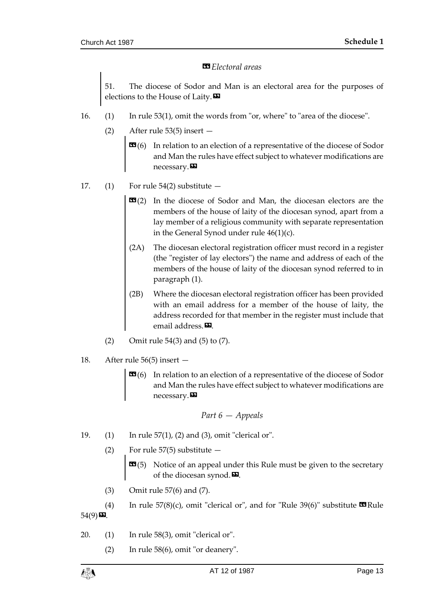#### *«Electoral areas*

51. The diocese of Sodor and Man is an electoral area for the purposes of elections to the House of Laity. $\mathbf{D}$ 

- 16. (1) In rule 53(1), omit the words from "or, where" to "area of the diocese".
	- (2) After rule 53(5) insert
		- **(6) In relation to an election of a representative of the diocese of Sodor** and Man the rules have effect subject to whatever modifications are necessary.
- 17. (1) For rule  $54(2)$  substitute  $-$ 
	- **EG(2)** In the diocese of Sodor and Man, the diocesan electors are the members of the house of laity of the diocesan synod, apart from a lay member of a religious community with separate representation in the General Synod under rule 46(1)(c).
	- (2A) The diocesan electoral registration officer must record in a register (the "register of lay electors") the name and address of each of the members of the house of laity of the diocesan synod referred to in paragraph (1).
	- (2B) Where the diocesan electoral registration officer has been provided with an email address for a member of the house of laity, the address recorded for that member in the register must include that email address.<sup>D.</sup>
	- (2) Omit rule 54(3) and (5) to (7).
- 18. After rule 56(5) insert
	- **(6) In relation to an election of a representative of the diocese of Sodor** and Man the rules have effect subject to whatever modifications are necessary.

Part 
$$
6 -
$$
 *Appeals*

- 19. (1) In rule 57(1), (2) and (3), omit "clerical or".
	- (2) For rule 57(5) substitute
		- **(5) Notice of an appeal under this Rule must be given to the secretary** of the diocesan synod. $\mathbf{D}$ .
	- (3) Omit rule 57(6) and (7).

(4) In rule  $57(8)$ (c), omit "clerical or", and for "Rule  $39(6)$ " substitute  $\blacksquare$  Rule  $54(9)$   $\Sigma$ .

- 20. (1) In rule 58(3), omit "clerical or".
	- (2) In rule 58(6), omit "or deanery".

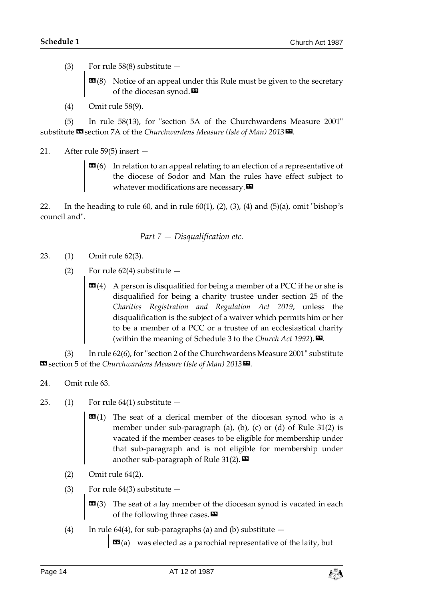- (3) For rule 58(8) substitute
	- **Notice of an appeal under this Rule must be given to the secretary** of the diocesan synod.<sup>DD</sup>
- (4) Omit rule 58(9).

(5) In rule 58(13), for "section 5A of the Churchwardens Measure 2001" substitute **<sup>11</sup>** section 7A of the *Churchwardens Measure* (Isle of Man) 2013<sup>D</sup>.

#### 21. After rule 59(5) insert —

 **(6) In relation to an appeal relating to an election of a representative of** the diocese of Sodor and Man the rules have effect subject to whatever modifications are necessary. $\boldsymbol{\mathsf{\Xi}}$ 

22. In the heading to rule 60, and in rule 60(1), (2), (3), (4) and (5)(a), omit "bishop's council and".

Part 
$$
7 - Disqualification etc.
$$

- 23. (1) Omit rule 62(3).
	- (2) For rule  $62(4)$  substitute  $-$ 
		- **(4) A person is disqualified for being a member of a PCC if he or she is** disqualified for being a charity trustee under section 25 of the *Charities Registration and Regulation Act 2019*, unless the disqualification is the subject of a waiver which permits him or her to be a member of a PCC or a trustee of an ecclesiastical charity (within the meaning of Schedule 3 to the *Church Act 1992*).

(3) In rule 62(6), for "section 2 of the Churchwardens Measure 2001" substitute Solution 5 of the *Churchwardens Measure* (*Isle of Man*) 2013<sup>D</sup>.

- 24. Omit rule 63.
- 25. (1) For rule  $64(1)$  substitute  $-$ 
	- **(1) The seat of a clerical member of the diocesan synod who is a** member under sub-paragraph (a), (b), (c) or (d) of Rule 31(2) is vacated if the member ceases to be eligible for membership under that sub-paragraph and is not eligible for membership under another sub-paragraph of Rule  $31(2)$ .
	- (2) Omit rule 64(2).
	- (3) For rule  $64(3)$  substitute  $-$

 $\mathbf{G}$ (3) The seat of a lay member of the diocesan synod is vacated in each of the following three cases.

(4) In rule 64(4), for sub-paragraphs (a) and (b) substitute  $-$ 

 $\mathbf{G}(a)$  was elected as a parochial representative of the laity, but

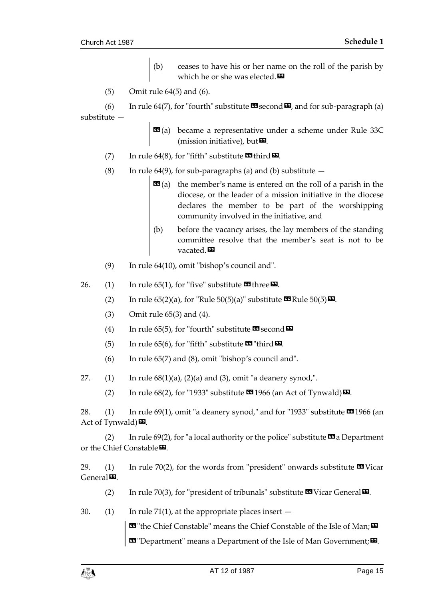- (b) ceases to have his or her name on the roll of the parish by which he or she was elected.<sup>DD</sup>
- (5) Omit rule 64(5) and (6).

(6) In rule 64(7), for "fourth" substitute  $\mathbf{\Omega}$  second  $\mathbf{\Omega}$ , and for sub-paragraph (a) substitute —

> **became a representative under a scheme under Rule 33C** (mission initiative), but $\boldsymbol{\mathsf{\Xi}}$ .

- (7) In rule 64(8), for "fifth" substitute  $\mathbf{\mathcal{F}}$  third  $\mathbf{\mathcal{F}}$ .
- (8) In rule 64(9), for sub-paragraphs (a) and (b) substitute  $$ 
	- **the member's name is entered on the roll of a parish in the** diocese, or the leader of a mission initiative in the diocese declares the member to be part of the worshipping community involved in the initiative, and
	- (b) before the vacancy arises, the lay members of the standing committee resolve that the member's seat is not to be vacated.<sup>99</sup>
- (9) In rule 64(10), omit "bishop's council and".
- 26. (1) In rule 65(1), for "five" substitute  $\mathbf{\Omega}$  three  $\mathbf{\Sigma}$ .
	- (2) In rule  $65(2)(a)$ , for "Rule  $50(5)(a)$ " substitute **39** Rule  $50(5)$  **D**.
	- (3) Omit rule 65(3) and (4).
	- (4) In rule 65(5), for "fourth" substitute  $\mathbf{\Omega}$  second  $\mathbf{\Omega}$
	- (5) In rule 65(6), for "fifth" substitute  $\mathbf{F}$ "third  $\mathbf{F}$ .
	- (6) In rule 65(7) and (8), omit "bishop's council and".
- 27.  $(1)$  In rule  $68(1)(a)$ ,  $(2)(a)$  and  $(3)$ , omit "a deanery synod,".
	- (2) In rule  $68(2)$ , for "1933" substitute **1946** (an Act of Tynwald)  $\boldsymbol{\mathsf{E}}$ .

28. (1) In rule 69(1), omit "a deanery synod," and for "1933" substitute  $\mathbb{S}^2$ 1966 (an Act of Tynwald) $\mathbf{E}$ .

(2) In rule  $69(2)$ , for "a local authority or the police" substitute  $\alpha$  a Department or the Chief Constable<sup>D</sup>.

29. (1) In rule 70(2), for the words from "president" onwards substitute  $\blacksquare$  Vicar  $General$ 

- (2) In rule 70(3), for "president of tribunals" substitute  $\mathbf{\mathfrak{B}}$  Vicar General  $\mathbf{\Sigma}$ .
- 30. (1) In rule 71(1), at the appropriate places insert  $-$

**ES** "the Chief Constable" means the Chief Constable of the Isle of Man;  $\mathbf{E}$ **EDEPARTMENT ISSUES IN THE USE OF MAN GOVERNMENT:**  $\mathbf{D}$ .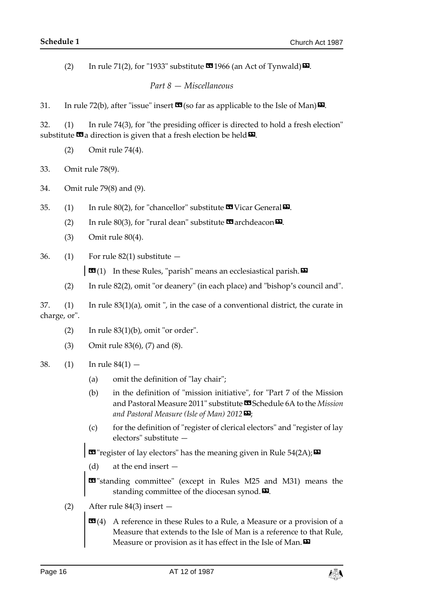(2) In rule 71(2), for "1933" substitute  $\mathbf{\Omega}$  1966 (an Act of Tynwald)  $\mathbf{\Omega}$ .

*Part 8 — Miscellaneous*

31. In rule 72(b), after "issue" insert  $\mathbf{\Omega}$  (so far as applicable to the Isle of Man) $\mathbf{\Omega}$ .

32. (1) In rule 74(3), for "the presiding officer is directed to hold a fresh election" substitute  $\mathbf{G}$  a direction is given that a fresh election be held  $\mathbf{D}$ .

(2) Omit rule 74(4).

33. Omit rule 78(9).

34. Omit rule 79(8) and (9).

35. (1) In rule 80(2), for "chancellor" substitute  $\mathbf{\mathfrak{B}}$  Vicar General  $\mathbf{\Sigma}$ .

(2) In rule 80(3), for "rural dean" substitute  $\mathbf{\Omega}$  archdeacon  $\mathbf{\Sigma}$ .

- (3) Omit rule 80(4).
- 36. (1) For rule  $82(1)$  substitute  $-$

 $\Box$   $(1)$  In these Rules, "parish" means an ecclesiastical parish.  $\Box$ 

(2) In rule 82(2), omit "or deanery" (in each place) and "bishop's council and".

37. (1) In rule 83(1)(a), omit ", in the case of a conventional district, the curate in charge, or".

- (2) In rule  $83(1)(b)$ , omit "or order".
- (3) Omit rule 83(6), (7) and (8).
- 38. (1) In rule 84(1)
	- (a) omit the definition of "lay chair";
	- (b) in the definition of "mission initiative", for "Part 7 of the Mission and Pastoral Measure 2011" substitute **II** Schedule 6A to the *Mission and Pastoral Measure (Isle of Man) 2012*»;
	- (c) for the definition of "register of clerical electors" and "register of lay electors" substitute —

 $\text{I}$  "register of lay electors" has the meaning given in Rule 54(2A);  $\text{I}$ 

(d) at the end insert —

**ED** "standing committee" (except in Rules M25 and M31) means the standing committee of the diocesan synod.

- (2) After rule 84(3) insert
	- **A reference in these Rules to a Rule, a Measure or a provision of a** Measure that extends to the Isle of Man is a reference to that Rule, Measure or provision as it has effect in the Isle of Man. $\boldsymbol{\mathsf{E}}$

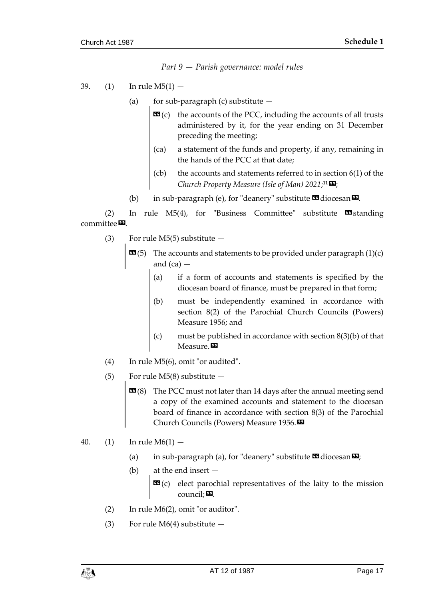*Part 9 — Parish governance: model rules*

- 39. (1) In rule M5(1)
	- (a) for sub-paragraph (c) substitute  $$ 
		- **the accounts of the PCC, including the accounts of all trusts** administered by it, for the year ending on 31 December preceding the meeting;
		- (ca) a statement of the funds and property, if any, remaining in the hands of the PCC at that date;
		- (cb) the accounts and statements referred to in section 6(1) of the *Church Property Measure (Isle of Man) 2021*; **<sup>11</sup>**»;
	- (b) in sub-paragraph (e), for "deanery" substitute  $\blacksquare$  diocesan $\blacksquare$ .

(2) In rule  $M5(4)$ , for "Business Committee" substitute  $\blacksquare$ Standing committee<sub>D</sub>

- (3) For rule  $M5(5)$  substitute  $-$ 
	- $\mathbf{G}(5)$  The accounts and statements to be provided under paragraph  $(1)(c)$ and  $(ca)$   $-$ 
		- (a) if a form of accounts and statements is specified by the diocesan board of finance, must be prepared in that form;
		- (b) must be independently examined in accordance with section 8(2) of the Parochial Church Councils (Powers) Measure 1956; and
		- (c) must be published in accordance with section  $8(3)(b)$  of that Measure.<sup>DD</sup>
- (4) In rule M5(6), omit "or audited".
- (5) For rule M5(8) substitute
	- **EE** (8) The PCC must not later than 14 days after the annual meeting send a copy of the examined accounts and statement to the diocesan board of finance in accordance with section 8(3) of the Parochial Church Councils (Powers) Measure 1956.»
- 40. (1) In rule  $M6(1)$ 
	- (a) in sub-paragraph (a), for "deanery" substitute  $\mathbf{\mathfrak{a}}$  diocesan $\mathbf{\Sigma}$ ;
	- (b) at the end insert
		- **elect parochial representatives of the laity to the mission**  $count: 2.5$
	- (2) In rule M6(2), omit "or auditor".
	- (3) For rule  $M6(4)$  substitute  $-$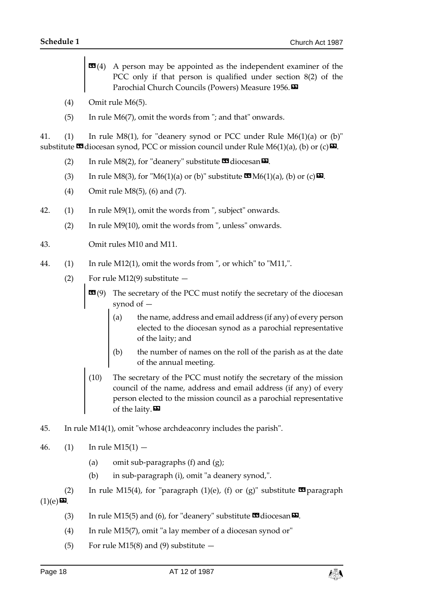- **A person may be appointed as the independent examiner of the** PCC only if that person is qualified under section 8(2) of the Parochial Church Councils (Powers) Measure 1956.
- (4) Omit rule M6(5).
- (5) In rule M6(7), omit the words from "; and that" onwards.

41. (1) In rule M8(1), for "deanery synod or PCC under Rule M6(1)(a) or (b)" substitute  $\blacksquare$  diocesan synod, PCC or mission council under Rule M6(1)(a), (b) or (c)  $\blacksquare$ .

- (2) In rule M8(2), for "deanery" substitute  $\blacksquare$  diocesan $\blacksquare$ .
- (3) In rule M8(3), for "M6(1)(a) or (b)" substitute  $\mathbb{C} \mathbb{D}(A)$  (b) or (c)  $\mathbb{D}$ .
- (4) Omit rule M8(5), (6) and (7).
- 42. (1) In rule M9(1), omit the words from ", subject" onwards.
	- (2) In rule M9(10), omit the words from ", unless" onwards.
- 43. Omit rules M10 and M11.
- 44. (1) In rule M12(1), omit the words from ", or which" to "M11,".
	- (2) For rule M12(9) substitute  $-$ 
		- **The secretary of the PCC must notify the secretary of the diocesan** synod of —
			- (a) the name, address and email address (if any) of every person elected to the diocesan synod as a parochial representative of the laity; and
			- (b) the number of names on the roll of the parish as at the date of the annual meeting.
		- (10) The secretary of the PCC must notify the secretary of the mission council of the name, address and email address (if any) of every person elected to the mission council as a parochial representative of the laity.
- 45. In rule M14(1), omit "whose archdeaconry includes the parish".
- 46. (1) In rule  $M15(1)$ 
	- (a) omit sub-paragraphs (f) and (g);
	- (b) in sub-paragraph (i), omit "a deanery synod,".

(2) In rule M15(4), for "paragraph (1)(e), (f) or (g)" substitute  $\blacksquare$  paragraph  $(1)(e)$ **D**.

- (3) In rule M15(5) and (6), for "deanery" substitute  $\mathbf{G}$  diocesan $\mathbf{E}$ .
- (4) In rule M15(7), omit "a lay member of a diocesan synod or"
- (5) For rule M15(8) and (9) substitute  $-$

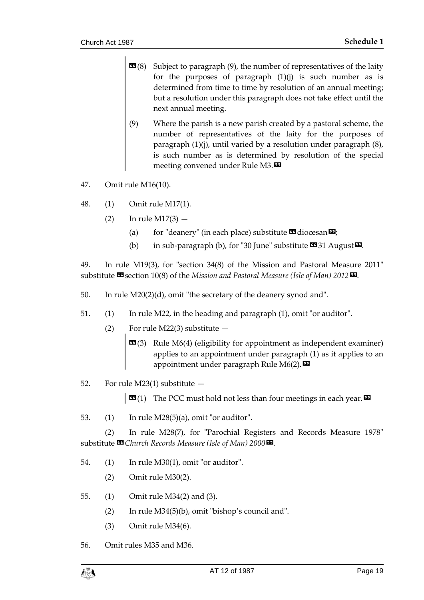- **Subject to paragraph (9), the number of representatives of the laity** for the purposes of paragraph  $(1)(j)$  is such number as is determined from time to time by resolution of an annual meeting; but a resolution under this paragraph does not take effect until the next annual meeting.
- (9) Where the parish is a new parish created by a pastoral scheme, the number of representatives of the laity for the purposes of paragraph (1)(j), until varied by a resolution under paragraph (8), is such number as is determined by resolution of the special meeting convened under Rule M3. $\boldsymbol{\mathsf{D}}$
- 47. Omit rule M16(10).
- 48. (1) Omit rule M17(1).
	- $(2)$  In rule M17(3)
		- (a) for "deanery" (in each place) substitute  $\blacksquare$  diocesan $\blacksquare$ ;
		- (b) in sub-paragraph (b), for "30 June" substitute  $\mathbf{31}$  August  $\mathbf{E}$ .

49. In rule M19(3), for "section 34(8) of the Mission and Pastoral Measure 2011" substitute **<sup>11</sup>** section 10(8) of the *Mission and Pastoral Measure* (*Isle of Man*) 2012<sup>**D**</sup>.

- 50. In rule M20(2)(d), omit "the secretary of the deanery synod and".
- 51. (1) In rule M22, in the heading and paragraph (1), omit "or auditor".
	- (2) For rule M22(3) substitute
		- **EG**(3) Rule M6(4) (eligibility for appointment as independent examiner) applies to an appointment under paragraph (1) as it applies to an appointment under paragraph Rule M6(2). $\blacksquare$
- 52. For rule M23(1) substitute —

**EG**(1) The PCC must hold not less than four meetings in each year.  $\mathbf{E}$ 

53. (1) In rule M28(5)(a), omit "or auditor".

(2) In rule M28(7), for "Parochial Registers and Records Measure 1978" substitute **<sup>11</sup>** Church Records Measure (Isle of Man) 2000<sup>D</sup>.

- 54. (1) In rule M30(1), omit "or auditor".
	- (2) Omit rule M30(2).
- 55. (1) Omit rule M34(2) and (3).
	- (2) In rule M34(5)(b), omit "bishop's council and".
	- (3) Omit rule M34(6).

56. Omit rules M35 and M36.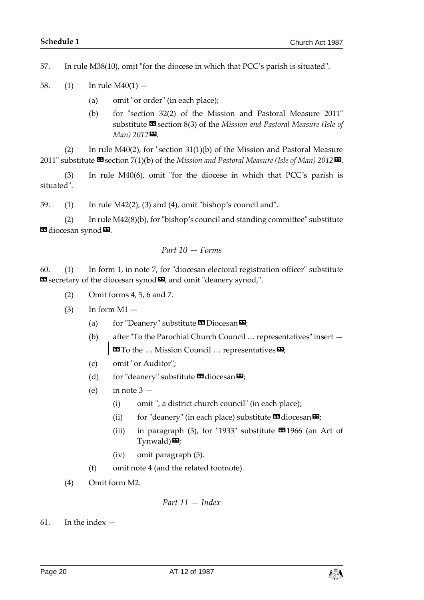57. In rule M38(10), omit "for the diocese in which that PCC's parish is situated".

- 58. (1) In rule  $M40(1)$ 
	- (a) omit "or order" (in each place);
	- (b) for "section 32(2) of the Mission and Pastoral Measure 2011" substitute **<sup>33</sup>** section 8(3) of the *Mission and Pastoral Measure* (Isle of *Man) 2012*».

(2) In rule M40(2), for "section 31(1)(b) of the Mission and Pastoral Measure 2011" substitute **<sup>13</sup>** section 7(1)(b) of the *Mission and Pastoral Measure (Isle of Man)* 2012<sup>D</sup>.

(3) In rule M40(6), omit "for the diocese in which that PCC's parish is situated".

59. (1) In rule M42(2), (3) and (4), omit "bishop's council and".

(2) In rule M42(8)(b), for "bishop's council and standing committee" substitute **Ed** diocesan synod **D**.

$$
Part\ 10 - Forms
$$

60. (1) In form 1, in note 7, for "diocesan electoral registration officer" substitute **ES** secretary of the diocesan synod  $\boldsymbol{\Xi}$ , and omit "deanery synod,".

- (2) Omit forms 4, 5, 6 and 7.
- $(3)$  In form M1  $-$ 
	- (a) for "Deanery" substitute  $\mathbf{\Omega}$  Diocesan $\mathbf{\Omega}$ ;
	- (b) after "To the Parochial Church Council … representatives" insert  $\blacksquare$  To the ... Mission Council ... representatives  $\blacksquare$
	- (c) omit "or Auditor";
	- (d) for "deanery" substitute  $\mathbf{\Omega}$  diocesan $\mathbf{\Omega}$ ;
	- (e) in note  $3 -$ 
		- (i) omit ", a district church council" (in each place);
		- (ii) for "deanery" (in each place) substitute  $\mathbf{\mathfrak{B}}$  diocesan $\mathbf{\mathfrak{D}}$ ;
		- (iii) in paragraph (3), for "1933" substitute  $\blacksquare$ 1966 (an Act of  $Tvmwald)$  $\mathbf{\mathbf{\Sigma}}$ ;
		- (iv) omit paragraph (5).
	- (f) omit note 4 (and the related footnote).
- (4) Omit form M2.

*Part 11 — Index*

 $61.$  In the index  $-$ 

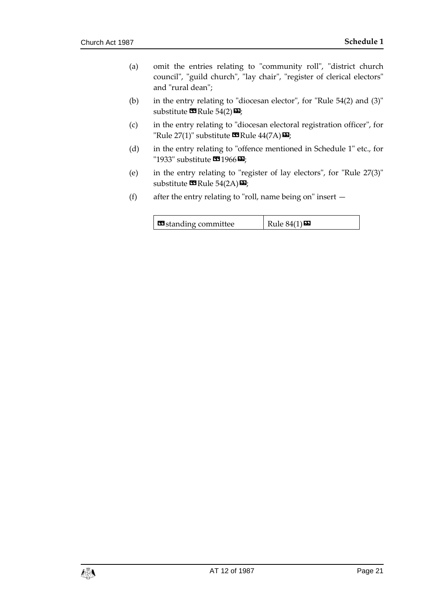- (a) omit the entries relating to "community roll", "district church council", "guild church", "lay chair", "register of clerical electors" and "rural dean";
- (b) in the entry relating to "diocesan elector", for "Rule 54(2) and (3)" substitute  $\mathbf{C}$  Rule 54(2) $\mathbf{E}$ ;
- (c) in the entry relating to "diocesan electoral registration officer", for "Rule  $27(1)$ " substitute  $\mathbf{C}$ Rule  $44(7\mathbf{A})\mathbf{E}$ ;
- (d) in the entry relating to "offence mentioned in Schedule 1" etc., for "1933" substitute  $\mathbf{C}$ 1966 $\mathbf{D}$ ;
- (e) in the entry relating to "register of lay electors", for "Rule 27(3)" substitute  $\mathbf{G}$  Rule 54(2A) $\mathbf{E}$ ;
- (f) after the entry relating to "roll, name being on" insert  $-$

| <b>E</b> standing committee | Rule $84(1)$ |
|-----------------------------|--------------|
|-----------------------------|--------------|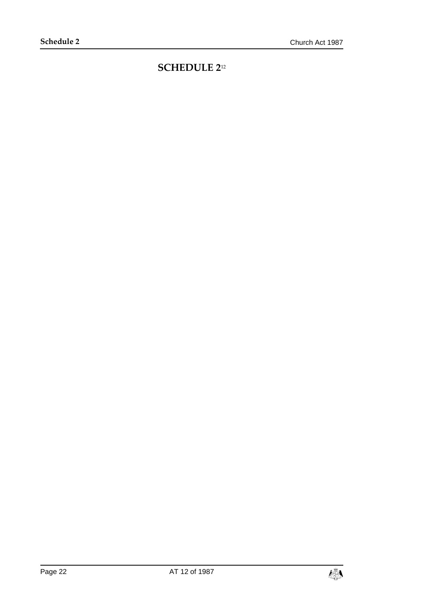## <span id="page-21-0"></span>**SCHEDULE 2**12